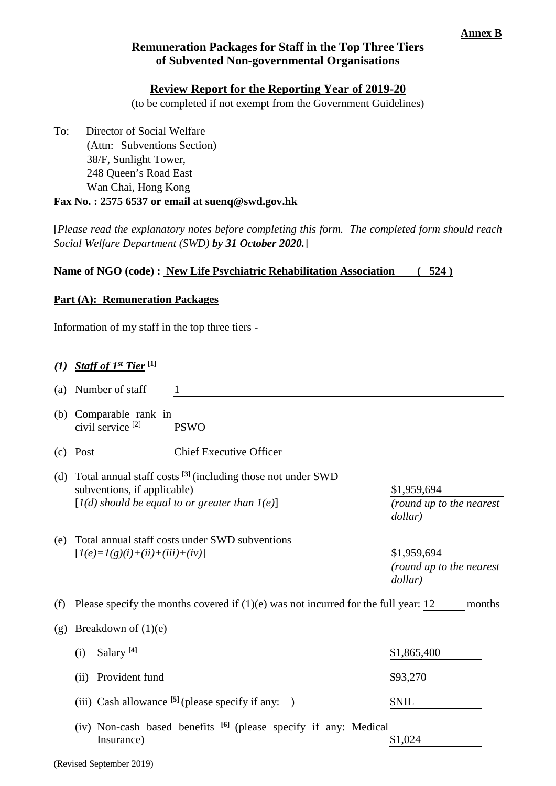# **Remuneration Packages for Staff in the Top Three Tiers of Subvented Non-governmental Organisations**

## **Review Report for the Reporting Year of 2019-20**

(to be completed if not exempt from the Government Guidelines)

To: Director of Social Welfare (Attn: Subventions Section) 38/F, Sunlight Tower, 248 Queen's Road East Wan Chai, Hong Kong **Fax No. : 2575 6537 or email at suenq@swd.gov.hk**

[*Please read the explanatory notes before completing this form. The completed form should reach Social Welfare Department (SWD) by 31 October 2020.*]

## **Name of NGO (code) : New Life Psychiatric Rehabilitation Association ( 524 )**

#### **Part (A): Remuneration Packages**

Information of my staff in the top three tiers -

|                                                                                           | (a) Number of staff                                                                            |                                                                                                                                                                                     |                                                    |  |  |
|-------------------------------------------------------------------------------------------|------------------------------------------------------------------------------------------------|-------------------------------------------------------------------------------------------------------------------------------------------------------------------------------------|----------------------------------------------------|--|--|
| (b)                                                                                       | Comparable rank in<br>civil service <sup>[2]</sup>                                             | <b>PSWO</b>                                                                                                                                                                         |                                                    |  |  |
| (c)                                                                                       | Post                                                                                           | <b>Chief Executive Officer</b>                                                                                                                                                      |                                                    |  |  |
| (d)                                                                                       | subventions, if applicable)                                                                    | Total annual staff costs <sup>[3]</sup> (including those not under SWD<br>\$1,959,694<br>$[I(d)$ should be equal to or greater than $I(e)$ ]<br>(round up to the nearest<br>dollar) |                                                    |  |  |
| (e)                                                                                       | Total annual staff costs under SWD subventions<br>$[I(e)=I(g)(i)+(ii)+(iii)+(iv)]$             |                                                                                                                                                                                     | \$1,959,694<br>(round up to the nearest<br>dollar) |  |  |
| (f)                                                                                       | Please specify the months covered if $(1)(e)$ was not incurred for the full year: 12<br>months |                                                                                                                                                                                     |                                                    |  |  |
| (g)                                                                                       | Breakdown of $(1)(e)$                                                                          |                                                                                                                                                                                     |                                                    |  |  |
|                                                                                           | Salary <sup>[4]</sup><br>(i)                                                                   |                                                                                                                                                                                     | \$1,865,400                                        |  |  |
|                                                                                           | Provident fund<br>(ii)                                                                         |                                                                                                                                                                                     | \$93,270                                           |  |  |
|                                                                                           |                                                                                                | (iii) Cash allowance $^{[5]}$ (please specify if any: )                                                                                                                             | \$NIL                                              |  |  |
| (iv) Non-cash based benefits <sup>[6]</sup> (please specify if any: Medical<br>Insurance) |                                                                                                |                                                                                                                                                                                     | \$1,024                                            |  |  |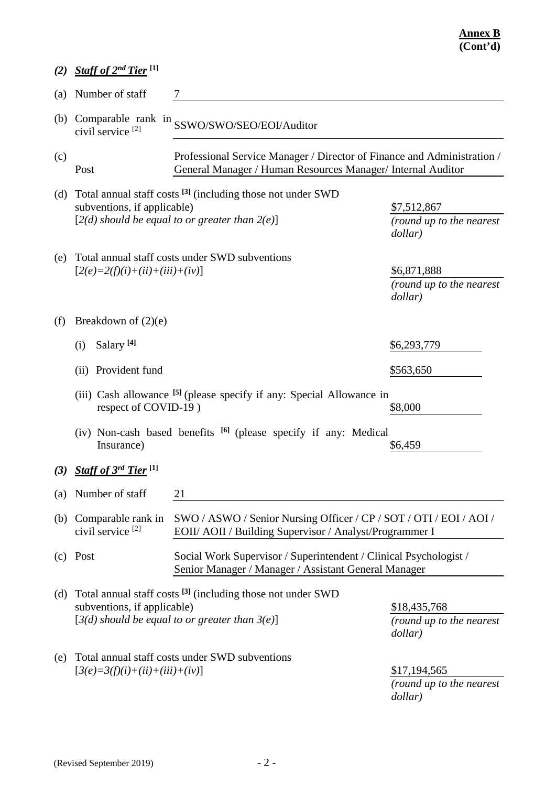| (2) | Staff of 2 <sup>nd</sup> Tier <sup>[1]</sup>                                                                                                                                            |                                                                                                                                                                                                                    |                                                    |  |  |  |
|-----|-----------------------------------------------------------------------------------------------------------------------------------------------------------------------------------------|--------------------------------------------------------------------------------------------------------------------------------------------------------------------------------------------------------------------|----------------------------------------------------|--|--|--|
| (a) | Number of staff                                                                                                                                                                         |                                                                                                                                                                                                                    |                                                    |  |  |  |
|     | civil service <sup>[2]</sup>                                                                                                                                                            | (b) Comparable rank in SSWO/SWO/SEO/EOI/Auditor                                                                                                                                                                    |                                                    |  |  |  |
| (c) | Post                                                                                                                                                                                    | Professional Service Manager / Director of Finance and Administration /<br>General Manager / Human Resources Manager/ Internal Auditor                                                                             |                                                    |  |  |  |
| (d) |                                                                                                                                                                                         | Total annual staff costs <sup>[3]</sup> (including those not under SWD<br>subventions, if applicable)<br>\$7,512,867<br>$[2(d)$ should be equal to or greater than $2(e)$ ]<br>(round up to the nearest<br>dollar) |                                                    |  |  |  |
| (e) | $[2(e)=2(f)(i)+(ii)+(iii)+(iv)]$                                                                                                                                                        | Total annual staff costs under SWD subventions                                                                                                                                                                     | \$6,871,888<br>(round up to the nearest<br>dollar) |  |  |  |
| (f) | Breakdown of $(2)(e)$                                                                                                                                                                   |                                                                                                                                                                                                                    |                                                    |  |  |  |
|     | Salary <sup>[4]</sup><br>(i)                                                                                                                                                            |                                                                                                                                                                                                                    | \$6,293,779                                        |  |  |  |
|     | Provident fund<br>(ii)                                                                                                                                                                  |                                                                                                                                                                                                                    | \$563,650                                          |  |  |  |
|     | (iii) Cash allowance <sup>[5]</sup> (please specify if any: Special Allowance in<br>respect of COVID-19)<br>\$8,000                                                                     |                                                                                                                                                                                                                    |                                                    |  |  |  |
|     | (iv) Non-cash based benefits <sup>[6]</sup> (please specify if any: Medical<br>Insurance)<br>\$6,459                                                                                    |                                                                                                                                                                                                                    |                                                    |  |  |  |
|     | (3) Staff of $3^{rd}$ Tier <sup>[1]</sup>                                                                                                                                               |                                                                                                                                                                                                                    |                                                    |  |  |  |
| (a) | Number of staff                                                                                                                                                                         | 21                                                                                                                                                                                                                 |                                                    |  |  |  |
| (b) | Comparable rank in<br>civil service <sup>[2]</sup>                                                                                                                                      | SWO / ASWO / Senior Nursing Officer / CP / SOT / OTI / EOI / AOI /<br>EOII/ AOII / Building Supervisor / Analyst/Programmer I                                                                                      |                                                    |  |  |  |
| (c) | Post                                                                                                                                                                                    | Social Work Supervisor / Superintendent / Clinical Psychologist /<br>Senior Manager / Manager / Assistant General Manager                                                                                          |                                                    |  |  |  |
| (d) | Total annual staff costs <sup>[3]</sup> (including those not under SWD<br>subventions, if applicable)<br>\$18,435,768<br>$[3(d)$ should be equal to or greater than $3(e)$ ]<br>dollar) |                                                                                                                                                                                                                    | (round up to the nearest                           |  |  |  |
| (e) | $[3(e)=3(f)(i)+(ii)+(iii)+(iv)]$                                                                                                                                                        | Total annual staff costs under SWD subventions                                                                                                                                                                     | \$17,194,565<br>(round up to the nearest           |  |  |  |

*dollar)*